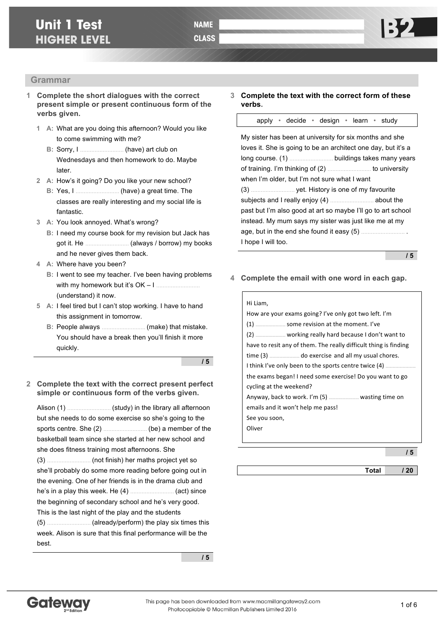#### **Grammar**

- **1 Complete the short dialogues with the correct present simple or present continuous form of the verbs given.**
	- **1 A:** What are you doing this afternoon? Would you like to come swimming with me?
		- **B:** Sorry, I ……………………… (have) art club on Wednesdays and then homework to do. Maybe later.
	- **2 A:** How's it going? Do you like your new school?
		- **B:** Yes, I ……………………… (have) a great time. The classes are really interesting and my social life is fantastic.
	- **3 A:** You look annoyed. What's wrong?
		- **B:** I need my course book for my revision but Jack has got it. He ……………………… (always / borrow) my books and he never gives them back.
	- **4 A:** Where have you been?
		- **B:** I went to see my teacher. I've been having problems with my homework but it's OK – I ……………………… (understand) it now.
	- **5 A:** I feel tired but I can't stop working. I have to hand this assignment in tomorrow.
		- **B:** People always ……………………… (make) that mistake. You should have a break then you'll finish it more quickly.

**/ 5**

**2 Complete the text with the correct present perfect simple or continuous form of the verbs given.**

Alison (1) ……………………… (study) in the library all afternoon but she needs to do some exercise so she's going to the sports centre. She (2) ……………………… (be) a member of the basketball team since she started at her new school and she does fitness training most afternoons. She (3) ……………………… (not finish) her maths project yet so she'll probably do some more reading before going out in the evening. One of her friends is in the drama club and he's in a play this week. He (4) ……………………… (act) since the beginning of secondary school and he's very good. This is the last night of the play and the students (5) ……………………… (already/perform) the play six times this week. Alison is sure that this final performance will be the best.

**/ 5**

**3 Complete the text with the correct form of these verbs.**

apply • decide • design • learn • study

My sister has been at university for six months and she loves it. She is going to be an architect one day, but it's a long course. (1) ……………………… buildings takes many years of training. I'm thinking of (2) ……………………… to university when I'm older, but I'm not sure what I want (3) ……………………… yet. History is one of my favourite subjects and I really enjoy (4) ……………………… about the past but I'm also good at art so maybe I'll go to art school instead. My mum says my sister was just like me at my age, but in the end she found it easy (5) ……………………… . I hope I will too.

**/ 5**

**4 Complete the email with one word in each gap.**

| Hi Liam,                                                         |  |  |  |  |
|------------------------------------------------------------------|--|--|--|--|
| How are your exams going? I've only got two left. I'm            |  |  |  |  |
| $(1)$ $\ldots$ some revision at the moment. I've                 |  |  |  |  |
|                                                                  |  |  |  |  |
| have to resit any of them. The really difficult thing is finding |  |  |  |  |
|                                                                  |  |  |  |  |
| I think I've only been to the sports centre twice (4)            |  |  |  |  |
| the exams began! I need some exercise! Do you want to go         |  |  |  |  |
| cycling at the weekend?                                          |  |  |  |  |
|                                                                  |  |  |  |  |
| emails and it won't help me pass!                                |  |  |  |  |
| See you soon,                                                    |  |  |  |  |
| Oliver                                                           |  |  |  |  |
|                                                                  |  |  |  |  |

**/ 5**

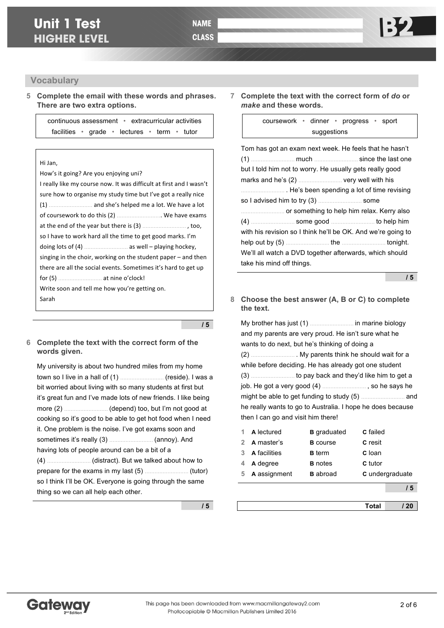#### **Vocabulary**

**5 Complete the email with these words and phrases. There are two extra options.**

> continuous assessment • extracurricular activities facilities • grade • lectures • term • tutor

#### Hi Jan,

| How's it going? Are you enjoying uni?                               |  |  |  |  |
|---------------------------------------------------------------------|--|--|--|--|
| I really like my course now. It was difficult at first and I wasn't |  |  |  |  |
| sure how to organise my study time but I've got a really nice       |  |  |  |  |
|                                                                     |  |  |  |  |
| of coursework to do this (2)  We have exams                         |  |  |  |  |
|                                                                     |  |  |  |  |
| so I have to work hard all the time to get good marks. I'm          |  |  |  |  |
|                                                                     |  |  |  |  |
| singing in the choir, working on the student paper $-$ and then     |  |  |  |  |
| there are all the social events. Sometimes it's hard to get up      |  |  |  |  |
|                                                                     |  |  |  |  |
| Write soon and tell me how you're getting on.                       |  |  |  |  |
| Sarah                                                               |  |  |  |  |

**/ 5**

### **6 Complete the text with the correct form of the words given.**

My university is about two hundred miles from my home town so I live in a hall of (1) ……………………… (reside). I was a bit worried about living with so many students at first but it's great fun and I've made lots of new friends. I like being more (2) ……………………… (depend) too, but I'm not good at cooking so it's good to be able to get hot food when I need it. One problem is the noise. I've got exams soon and sometimes it's really (3) ……………………… (annoy). And having lots of people around can be a bit of a (4) ……………………… (distract). But we talked about how to prepare for the exams in my last (5) ……………………… (tutor) so I think I'll be OK. Everyone is going through the same thing so we can all help each other.

### **7 Complete the text with the correct form of** *do* **or**  *make* **and these words.**

coursework • dinner • progress • sport suggestions

| Tom has got an exam next week. He feels that he hasn't       |  |  |  |  |  |  |
|--------------------------------------------------------------|--|--|--|--|--|--|
|                                                              |  |  |  |  |  |  |
| but I told him not to worry. He usually gets really good     |  |  |  |  |  |  |
|                                                              |  |  |  |  |  |  |
|                                                              |  |  |  |  |  |  |
|                                                              |  |  |  |  |  |  |
|                                                              |  |  |  |  |  |  |
|                                                              |  |  |  |  |  |  |
| with his revision so I think he'll be OK. And we're going to |  |  |  |  |  |  |
|                                                              |  |  |  |  |  |  |
| We'll all watch a DVD together afterwards, which should      |  |  |  |  |  |  |
| take his mind off things.                                    |  |  |  |  |  |  |

**/ 5**

**8 Choose the best answer (A, B or C) to complete the text.**

My brother has just (1) ……………………… in marine biology and my parents are very proud. He isn't sure what he wants to do next, but he's thinking of doing a (2) ……………………… . My parents think he should wait for a while before deciding. He has already got one student (3) ……………………… to pay back and they'd like him to get a job. He got a very good (4) ……………………… , so he says he might be able to get funding to study (5) ……………………… and he really wants to go to Australia. I hope he does because then I can go and visit him there!

| 5 | A assignment   | <b>B</b> abroad    | C undergraduate |  |
|---|----------------|--------------------|-----------------|--|
| 4 | A degree       | <b>B</b> notes     | C tutor         |  |
|   | 3 A facilities | <b>B</b> term      | C loan          |  |
|   | 2 A master's   | <b>B</b> course    | <b>C</b> resit  |  |
| 1 | A lectured     | <b>B</b> graduated | <b>C</b> failed |  |

**/ 5**

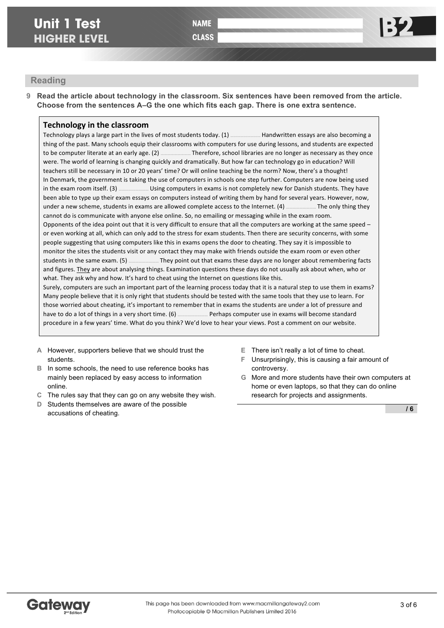**CLASS** 

# **Reading**

**9 Read the article about technology in the classroom. Six sentences have been removed from the article. Choose from the sentences A–G the one which fits each gap. There is one extra sentence.**

## **Technology in the classroom**

Technology plays a large part in the lives of most students today. (1) **EXEC MALA MILA THAN** written essays are also becoming a thing of the past. Many schools equip their classrooms with computers for use during lessons, and students are expected to be computer literate at an early age. (2) ……………………… Therefore, school libraries are no longer as necessary as they once were. The world of learning is changing quickly and dramatically. But how far can technology go in education? Will teachers still be necessary in 10 or 20 years' time? Or will online teaching be the norm? Now, there's a thought! In Denmark, the government is taking the use of computers in schools one step further. Computers are now being used in the exam room itself. (3) ………………………………… Using computers in exams is not completely new for Danish students. They have been able to type up their exam essays on computers instead of writing them by hand for several years. However, now, under a new scheme, students in exams are allowed complete access to the Internet. (4) ……………………… The only thing they cannot do is communicate with anyone else online. So, no emailing or messaging while in the exam room. Opponents of the idea point out that it is very difficult to ensure that all the computers are working at the same speed  $$ or even working at all, which can only add to the stress for exam students. Then there are security concerns, with some people suggesting that using computers like this in exams opens the door to cheating. They say it is impossible to monitor the sites the students visit or any contact they may make with friends outside the exam room or even other students in the same exam. (5) ……………………… They point out that exams these days are no longer about remembering facts and figures. They are about analysing things. Examination questions these days do not usually ask about when, who or what. They ask why and how. It's hard to cheat using the Internet on questions like this.

Surely, computers are such an important part of the learning process today that it is a natural step to use them in exams? Many people believe that it is only right that students should be tested with the same tools that they use to learn. For those worried about cheating, it's important to remember that in exams the students are under a lot of pressure and have to do a lot of things in a very short time. (6) **EXECON LONG THEO COMPUTED** computer use in exams will become standard procedure in a few years' time. What do you think? We'd love to hear your views. Post a comment on our website.

- **A** However, supporters believe that we should trust the students.
- **B** In some schools, the need to use reference books has mainly been replaced by easy access to information online.
- **C** The rules say that they can go on any website they wish.
- **D** Students themselves are aware of the possible accusations of cheating.
- **E** There isn't really a lot of time to cheat.
- **F** Unsurprisingly, this is causing a fair amount of controversy.
- **G** More and more students have their own computers at home or even laptops, so that they can do online research for projects and assignments.

**/ 6**

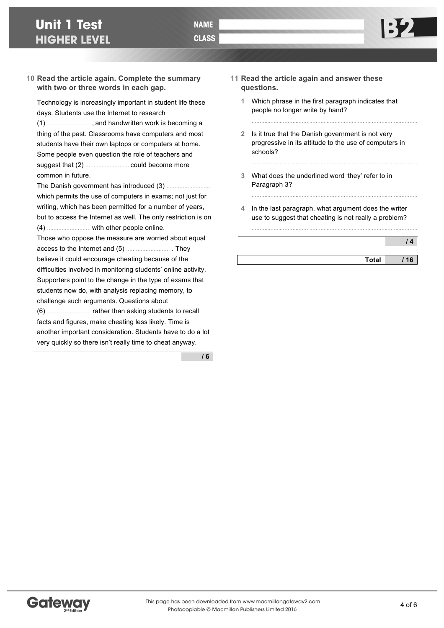#### **10 Read the article again. Complete the summary with two or three words in each gap.**

Technology is increasingly important in student life these days. Students use the Internet to research

(1) ……………………… , and handwritten work is becoming a thing of the past. Classrooms have computers and most students have their own laptops or computers at home. Some people even question the role of teachers and suggest that (2) ……………………… could become more common in future.

The Danish government has introduced (3) ……………………… which permits the use of computers in exams; not just for writing, which has been permitted for a number of years, but to access the Internet as well. The only restriction is on (4) ……………………… with other people online.

Those who oppose the measure are worried about equal access to the Internet and (5) ……………………… . They believe it could encourage cheating because of the difficulties involved in monitoring students' online activity. Supporters point to the change in the type of exams that students now do, with analysis replacing memory, to challenge such arguments. Questions about (6) ……………………… rather than asking students to recall facts and figures, make cheating less likely. Time is another important consideration. Students have to do a lot

very quickly so there isn't really time to cheat anyway.

**/ 6**

- **11 Read the article again and answer these questions.**
	- **1** Which phrase in the first paragraph indicates that people no longer write by hand?
	- **2** Is it true that the Danish government is not very progressive in its attitude to the use of computers in schools?

………..……..………..……..………..……..………..……..………..……..………..

………..……..………..……..………..……..………..……..………..……..………..

- **3** What does the underlined word 'they' refer to in Paragraph 3?
- **4** In the last paragraph, what argument does the writer use to suggest that cheating is not really a problem?

………..……..………..……..………..……..………..……..………..……..………..

| 14 |
|----|
|----|

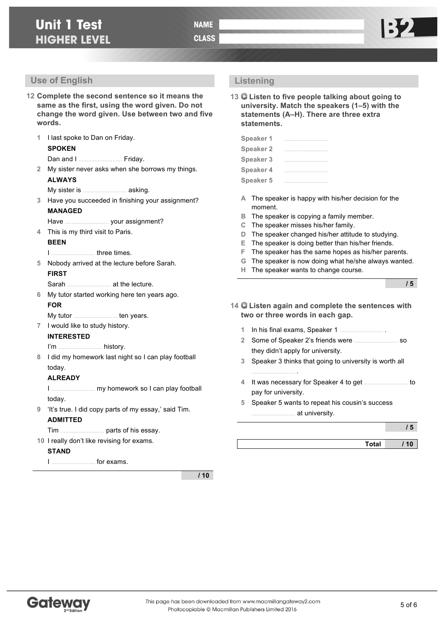**Listening** 

**statements.**

**13 Listen to five people talking about going to university. Match the speakers (1–5) with the statements (A–H). There are three extra** 

- **12 Complete the second sentence so it means the same as the first, using the word given. Do not change the word given. Use between two and five words.**
	- **1** I last spoke to Dan on Friday. **SPOKEN** Dan and I ……………………… Friday. **2** My sister never asks when she borrows my things. **ALWAYS** My sister is ……………………… asking. **3** Have you succeeded in finishing your assignment? **MANAGED** Have ……………………… your assignment? **4** This is my third visit to Paris. **BEEN** I ……………………… three times. **5** Nobody arrived at the lecture before Sarah. **FIRST** Sarah ……………………… at the lecture. **6** My tutor started working here ten years ago. **FOR** My tutor ……………………… ten years. **7** I would like to study history. **INTERESTED** I'm ……………………… history. **8** I did my homework last night so I can play football today. **ALREADY** I ……………………… my homework so I can play football today. **9** 'It's true. I did copy parts of my essay,' said Tim. **ADMITTED** Tim ……………………… parts of his essay. **10** I really don't like revising for exams. **STAND Speaker 1** ……………………… **Speaker 2** ……………………… **Speaker 3** ……………………… **Speaker 4** ……………………… **Speaker 5** ……………………… **A** The speaker is happy with his/her decision for the moment. **B** The speaker is copying a family member. **C** The speaker misses his/her family. **D** The speaker changed his/her attitude to studying. **E** The speaker is doing better than his/her friends. **F** The speaker has the same hopes as his/her parents. **G** The speaker is now doing what he/she always wanted. **H** The speaker wants to change course. **14 Listen again and complete the sentences with two or three words in each gap. 1** In his final exams, Speaker 1 ……………………… . **2** Some of Speaker 2's friends were ……………………… so they didn't apply for university. **3** Speaker 3 thinks that going to university is worth all ……………………… . **4** It was necessary for Speaker 4 to get ……………………… to pay for university. **5** Speaker 5 wants to repeat his cousin's success ……………………… at university.
		- I ……………………… for exams.

**/ 10**



**/ 5**

**/ 5**